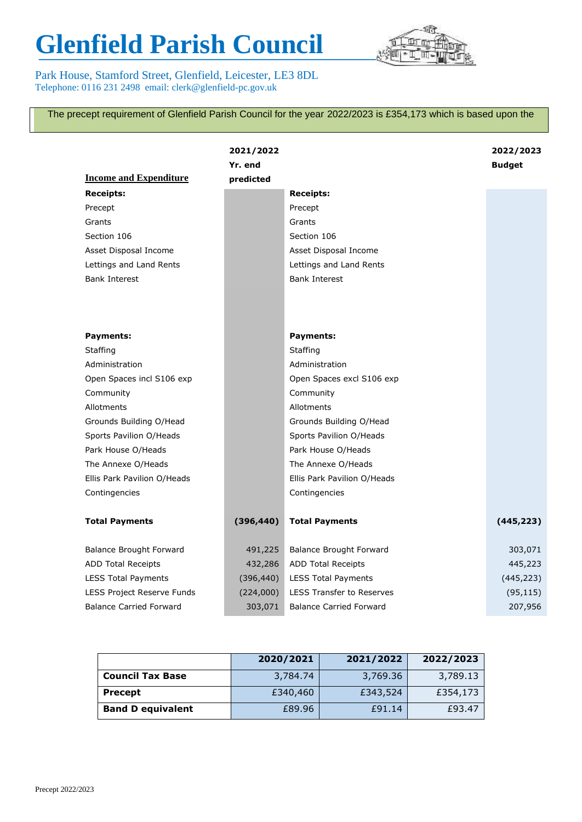## **Glenfield Parish Council**

Park House, Stamford Street, Glenfield, Leicester, LE3 8DL Telephone: 0116 231 2498 email: clerk@glenfield-pc.gov.uk



The precept requirement of Glenfield Parish Council for the year 2022/2023 is £354,173 which is based upon the

|                                | 2021/2022<br>Yr. end |                                  |            |
|--------------------------------|----------------------|----------------------------------|------------|
| <b>Income and Expenditure</b>  | predicted            |                                  |            |
| <b>Receipts:</b>               |                      | <b>Receipts:</b>                 |            |
| Precept                        |                      | Precept                          |            |
| Grants                         |                      | Grants                           |            |
| Section 106                    |                      | Section 106                      |            |
| Asset Disposal Income          |                      | Asset Disposal Income            |            |
| Lettings and Land Rents        |                      | Lettings and Land Rents          |            |
| <b>Bank Interest</b>           |                      | <b>Bank Interest</b>             |            |
| <b>Payments:</b>               |                      | <b>Payments:</b>                 |            |
| Staffing                       |                      | Staffing                         |            |
| Administration                 |                      | Administration                   |            |
| Open Spaces incl S106 exp      |                      | Open Spaces excl S106 exp        |            |
| Community                      |                      | Community                        |            |
| Allotments                     |                      | Allotments                       |            |
| Grounds Building O/Head        |                      | Grounds Building O/Head          |            |
| Sports Pavilion O/Heads        |                      | Sports Pavilion O/Heads          |            |
| Park House O/Heads             |                      | Park House O/Heads               |            |
| The Annexe O/Heads             |                      | The Annexe O/Heads               |            |
| Ellis Park Pavilion O/Heads    |                      | Ellis Park Pavilion O/Heads      |            |
| Contingencies                  |                      | Contingencies                    |            |
| <b>Total Payments</b>          | (396, 440)           | <b>Total Payments</b>            | (445, 223) |
| <b>Balance Brought Forward</b> | 491,225              | <b>Balance Brought Forward</b>   | 303,071    |
| <b>ADD Total Receipts</b>      | 432,286              | <b>ADD Total Receipts</b>        | 445,223    |
| <b>LESS Total Payments</b>     | (396, 440)           | <b>LESS Total Payments</b>       | (445, 223) |
| LESS Project Reserve Funds     | (224,000)            | <b>LESS Transfer to Reserves</b> | (95, 115)  |
| <b>Balance Carried Forward</b> | 303,071              | <b>Balance Carried Forward</b>   | 207,956    |

|                          | 2020/2021 | 2021/2022 | 2022/2023 |
|--------------------------|-----------|-----------|-----------|
| <b>Council Tax Base</b>  | 3,784.74  | 3,769.36  | 3,789.13  |
| <b>Precept</b>           | £340,460  | £343,524  | £354,173  |
| <b>Band D equivalent</b> | £89.96    | £91.14    | £93.47    |